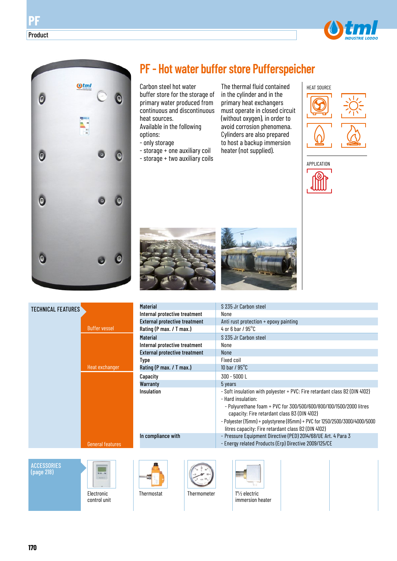



# **PF - Hot water buffer store Pufferspeicher**

Carbon steel hot water buffer store for the storage of primary water produced from continuous and discontinuous heat sources. Available in the following options:

- only storage
- storage + one auxiliary coil
- storage + two auxiliary coils

The thermal fluid contained in the cylinder and in the primary heat exchangers must operate in closed circuit (without oxygen), in order to avoid corrosion phenomena. Cylinders are also prepared to host a backup immersion heater (not supplied).









| <b>TECHNICAL FEATURES</b>        |                         | <b>Material</b>                      | S 235 Jr Carbon steel                                                                                                                                                                                                                                                                                                                                       |
|----------------------------------|-------------------------|--------------------------------------|-------------------------------------------------------------------------------------------------------------------------------------------------------------------------------------------------------------------------------------------------------------------------------------------------------------------------------------------------------------|
|                                  |                         | Internal protective treatment        | None                                                                                                                                                                                                                                                                                                                                                        |
|                                  |                         | <b>External protective treatment</b> | Anti rust protection + epoxy painting                                                                                                                                                                                                                                                                                                                       |
|                                  | <b>Buffer vessel</b>    | Rating (P max. / T max.)             | 4 or 6 bar / $95^{\circ}$ C                                                                                                                                                                                                                                                                                                                                 |
|                                  |                         | <b>Material</b>                      | S 235 Jr Carbon steel                                                                                                                                                                                                                                                                                                                                       |
|                                  |                         | Internal protective treatment        | None                                                                                                                                                                                                                                                                                                                                                        |
|                                  |                         | <b>External protective treatment</b> | <b>None</b>                                                                                                                                                                                                                                                                                                                                                 |
|                                  |                         | Type                                 | <b>Fixed coil</b>                                                                                                                                                                                                                                                                                                                                           |
|                                  | Heat exchanger          | Rating (P max. / T max.)             | 10 bar / $95^{\circ}$ C                                                                                                                                                                                                                                                                                                                                     |
|                                  |                         | Capacity                             | 300 - 5000 L                                                                                                                                                                                                                                                                                                                                                |
|                                  |                         | Warranty                             | 5 years                                                                                                                                                                                                                                                                                                                                                     |
|                                  |                         | Insulation                           | - Soft insulation with polyester + PVC: Fire retardant class B2 (DIN 4102)<br>- Hard insulation:<br>- Polyurethane foam + PVC for 300/500/600/800/100/1500/2000 litres<br>capacity: Fire retardant class B3 (DIN 4102)<br>- Polyester (15mm) + polystyrene (85mm) + PVC for 1250/2500/3000/4000/5000<br>litres capacity: Fire retardant class B2 (DIN 4102) |
|                                  | <b>General features</b> | In compliance with                   | - Pressure Equipment Directive (PED) 2014/68/UE Art. 4 Para 3<br>- Energy related Products (Erp) Directive 2009/125/CE                                                                                                                                                                                                                                      |
|                                  |                         |                                      |                                                                                                                                                                                                                                                                                                                                                             |
| <b>ACCESSORIES</b><br>(page 218) | 算算上等                    |                                      |                                                                                                                                                                                                                                                                                                                                                             |



Electronic control unit



Thermostat Thermometer 1"1/2 electric immersion heater

Product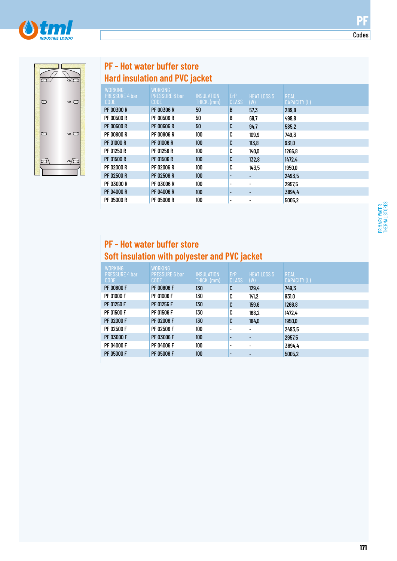



# **PF - Hot water buffer store Hard insulation and PVC jacket**

| <b>WORKING</b><br><b>PRESSURE 4 bar</b><br><b>CODE</b> | <b>WORKING</b><br><b>PRESSURE 6 bar</b><br><b>CODE</b> | <b>INSULATION</b><br>THICK. (mm) | ErP<br><b>CLASS</b>      | <b>HEAT LOSS S</b><br>(W) | <b>REAL</b><br>CAPACITY (L) |
|--------------------------------------------------------|--------------------------------------------------------|----------------------------------|--------------------------|---------------------------|-----------------------------|
| PF 00300 R                                             | <b>PF 00306 R</b>                                      | 50                               | B                        | 57,3                      | 289,8                       |
| PF 00500 R                                             | <b>PF 00506 R</b>                                      | 50                               | B                        | 69,7                      | 499.8                       |
| PF 00600 R                                             | <b>PF 00606 R</b>                                      | 50                               | C                        | 94.7                      | 585,2                       |
| PF 00800 R                                             | <b>PF 00806 R</b>                                      | 100                              | C                        | 109,9                     | 749,3                       |
| PF 01000 R                                             | <b>PF 01006 R</b>                                      | 100                              | C                        | 113,8                     | 931,0                       |
| PF 01250 R                                             | PF 01256 R                                             | 100                              | C                        | 140,0                     | 1266.8                      |
| PF 01500 R                                             | <b>PF 01506 R</b>                                      | 100                              | C                        | 132,8                     | 1472.4                      |
| PF 02000 R                                             | PF 02006 R                                             | 100                              | C                        | 143,5                     | 1950,0                      |
| PF 02500 R                                             | <b>PF 02506 R</b>                                      | 100                              |                          |                           | 2493.5                      |
| PF 03000 R                                             | PF 03006 R                                             | 100                              |                          | -                         | 2957,5                      |
| PF 04000 R                                             | PF 04006 R                                             | 100                              |                          |                           | 3894.4                      |
| PF 05000 R                                             | PF 05006 R                                             | 100                              | $\overline{\phantom{a}}$ |                           | 5005.2                      |

# **PF - Hot water buffer store Soft insulation with polyester and PVC jacket**

| <b>WORKING</b><br><b>PRESSURE 4 bar</b><br><b>CODE</b> | <b>WORKING</b><br><b>PRESSURE 6 bar</b><br><b>CODE</b> | <b>INSULATION</b><br>THICK. (mm) | <b>ErP</b><br><b>CLASS</b> | <b>HEAT LOSS S</b><br>(W) | <b>REAL</b><br>CAPACITY (L) |
|--------------------------------------------------------|--------------------------------------------------------|----------------------------------|----------------------------|---------------------------|-----------------------------|
| <b>PF 00800 F</b>                                      | <b>PF 00806 F</b>                                      | 130                              | C                          | 129,4                     | 749,3                       |
| PF 01000 F                                             | PF 01006 F                                             | 130                              | C                          | 141,2                     | 931,0                       |
| PF 01250 F                                             | PF 01256 F                                             | 130                              | C                          | 159,6                     | 1266,8                      |
| <b>PF 01500 F</b>                                      | PF 01506 F                                             | 130                              | C                          | 168,2                     | 1472.4                      |
| PF 02000 F                                             | PF 02006 F                                             | 130                              | C                          | 184,0                     | 1950,0                      |
| PF 02500 F                                             | PF 02506 F                                             | 100                              | $\overline{\phantom{a}}$   | $\overline{\phantom{a}}$  | 2493,5                      |
| PF 03000 F                                             | PF 03006 F                                             | 100                              |                            |                           | 2957.5                      |
| PF 04000 F                                             | PF 04006 F                                             | 100                              | $\overline{\phantom{a}}$   | $\overline{\phantom{0}}$  | 3894.4                      |
| <b>PF 05000 F</b>                                      | <b>PF 05006 F</b>                                      | 100 <sub>l</sub>                 |                            |                           | 5005,2                      |

Codes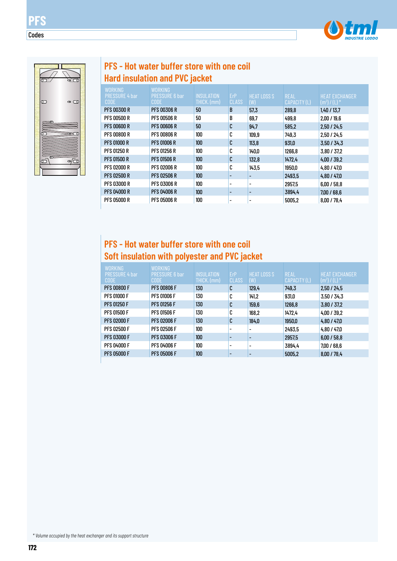



**PFS**

Codes

# **PFS - Hot water buffer store with one coil Hard insulation and PVC jacket**

| WORKING<br><b>PRESSURE 4 bar</b><br><b>CODE</b> | <b>WORKING</b><br><b>PRESSURE 6 bar</b><br><b>CODE</b> | <b>INSULATION</b><br>THICK. (mm) | ErP<br><b>CLASS</b>      | <b>HEAT LOSS S</b><br>(W) | <b>REAL</b><br>CAPACITY (L) | <b>HEAT EXCHANGER</b><br>$(m^2) / (L)$ * |
|-------------------------------------------------|--------------------------------------------------------|----------------------------------|--------------------------|---------------------------|-----------------------------|------------------------------------------|
| PFS 00300 R                                     | <b>PFS 00306 R</b>                                     | 50                               | B                        | 57,3                      | 289,8                       | 1,40/13,7                                |
| PFS 00500 R                                     | <b>PFS 00506 R</b>                                     | 50                               | B                        | 69.7                      | 499.8                       | 2.00 / 19.6                              |
| PFS 00600 R                                     | <b>PFS 00606 R</b>                                     | 50                               | C                        | 94.7                      | 585,2                       | 2.50 / 24.5                              |
| PFS 00800 R                                     | <b>PFS 00806 R</b>                                     | 100                              | C                        | 109,9                     | 749.3                       | 2.50 / 24.5                              |
| <b>PFS 01000 R</b>                              | <b>PFS 01006 R</b>                                     | 100                              | C                        | 113.8                     | 931,0                       | 3.50 / 34.3                              |
| PFS 01250 R                                     | <b>PFS 01256 R</b>                                     | 100                              | C                        | 140,0                     | 1266,8                      | 3,80 / 37,2                              |
| PFS 01500 R                                     | <b>PFS 01506 R</b>                                     | 100                              | C                        | 132,8                     | 1472.4                      | 4,00/39,2                                |
| PFS 02000 R                                     | <b>PFS 02006 R</b>                                     | 100                              | C                        | 143,5                     | 1950,0                      | 4,80 / 47.0                              |
| PFS 02500 R                                     | <b>PFS 02506 R</b>                                     | 100                              |                          |                           | 2493,5                      | 4.80 / 47.0                              |
| PFS 03000 R                                     | <b>PFS 03006 R</b>                                     | 100                              |                          |                           | 2957.5                      | 6,00/58,8                                |
| <b>PFS 04000 R</b>                              | <b>PFS 04006 R</b>                                     | 100                              |                          |                           | 3894.4                      | 7,00/68,6                                |
| PFS 05000 R                                     | <b>PFS 05006 R</b>                                     | 100                              | $\overline{\phantom{a}}$ |                           | 5005.2                      | 8,00 / 78,4                              |

# **PFS - Hot water buffer store with one coil Soft insulation with polyester and PVC jacket**

| <b>WORKING</b><br><b>PRESSURE 4 bar</b> | <b>WORKING</b><br><b>PRESSURE 6 bar</b> | <b>INSULATION</b> | ErP          | <b>HEAT LOSS S</b>       | <b>REAL</b>  | <b>HEAT EXCHANGER</b> |
|-----------------------------------------|-----------------------------------------|-------------------|--------------|--------------------------|--------------|-----------------------|
| CODE                                    | <b>CODE</b>                             | THICK. (mm)       | <b>CLASS</b> | (W)                      | CAPACITY (L) | $(m2)$ / (L) $*$      |
| <b>PFS 00800 F</b>                      | <b>PFS 00806 F</b>                      | 130               | C            | 129.4                    | 749,3        | 2,50/24,5             |
| <b>PFS 01000 F</b>                      | <b>PFS 01006 F</b>                      | 130               | C            | 141,2                    | 931,0        | 3,50/34,3             |
| <b>PFS 01250 F</b>                      | <b>PFS 01256 F</b>                      | 130               | C            | 159,6                    | 1266,8       | 3,80 / 37,2           |
| <b>PFS 01500 F</b>                      | <b>PFS 01506 F</b>                      | 130               | C            | 168,2                    | 1472,4       | 4,00/39,2             |
| <b>PFS 02000 F</b>                      | <b>PFS 02006 F</b>                      | 130               | C            | 184,0                    | 1950,0       | 4,80/47,0             |
| <b>PFS 02500 F</b>                      | <b>PFS 02506 F</b>                      | 100               |              |                          | 2493,5       | 4,80/47,0             |
| <b>PFS 03000 F</b>                      | <b>PFS 03006 F</b>                      | 100               |              |                          | 2957,5       | 6,00/58,8             |
| <b>PFS 04000 F</b>                      | <b>PFS 04006 F</b>                      | 100               |              | $\overline{\phantom{a}}$ | 3894.4       | 7,00/68,6             |
| <b>PFS 05000 F</b>                      | <b>PFS 05006 F</b>                      | 100               |              |                          | 5005,2       | 8,00 / 78,4           |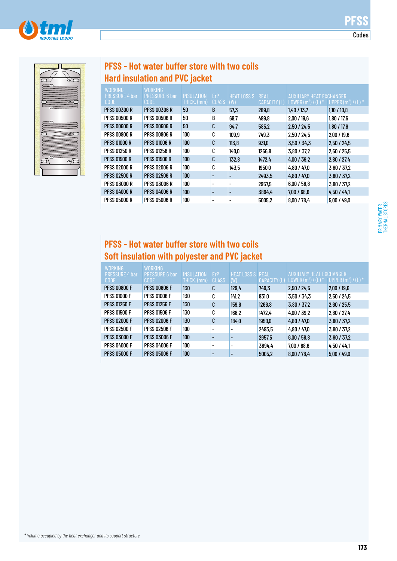Codes



| $\overline{\mathbb{C}}$                    |  |
|--------------------------------------------|--|
| o                                          |  |
| $\overline{\phantom{a}}$                   |  |
| Œ                                          |  |
| Œ                                          |  |
|                                            |  |
|                                            |  |
|                                            |  |
| $\overline{\sigma}$<br>مے<br>$\infty$<br>C |  |
|                                            |  |

# **PFSS - Hot water buffer store with two coils Hard insulation and PVC jacket**

|                       | WORKING               |                     |       |                    |              |                                 |                       |
|-----------------------|-----------------------|---------------------|-------|--------------------|--------------|---------------------------------|-----------------------|
| <b>PRESSURE 4 bar</b> | <b>PRESSURE 6 bar</b> | <b>INSULATION</b>   | ErP   | <b>HEAT LOSS S</b> | <b>REAL</b>  | <b>AUXILIARY HEAT EXCHANGER</b> |                       |
| <b>CODE</b>           | <b>CODE</b>           | <u>THI</u> CK. (mm) | CLASS | (W)                | CAPACITY (L) | LOWER $(m^2) / (L)^3$           | UPPER $(m^2) / (L)^*$ |
| PFSS 00300 R          | <b>PFSS 00306 R</b>   | 50                  | B     | 57,3               | 289,8        | 1,40/13,7                       | 1,10/10,8             |
| PFSS 00500 R          | <b>PFSS 00506 R</b>   | 50                  | B     | 69.7               | 499,8        | 2,00/19.6                       | 1,80 / 17,6           |
| PFSS 00600 R          | <b>PFSS 00606 R</b>   | 50                  | C     | 94.7               | 585,2        | 2.50 / 24.5                     | 1.80 / 17.6           |
| PFSS 00800 R          | <b>PFSS 00806 R</b>   | 100                 | C     | 109,9              | 749.3        | 2.50 / 24.5                     | 2,00/19.6             |
| <b>PFSS 01000 R</b>   | <b>PFSS 01006 R</b>   | 100                 | C     | 113.8              | 931,0        | 3.50 / 34.3                     | 2.50 / 24.5           |
| PFSS 01250 R          | <b>PFSS 01256 R</b>   | 100                 | C     | 140,0              | 1266,8       | 3,80 / 37,2                     | 2,60/25,5             |
| PFSS 01500 R          | <b>PFSS 01506 R</b>   | 100                 | C     | 132,8              | 1472.4       | 4.00 / 39.2                     | 2.80 / 27.4           |
| PFSS 02000 R          | <b>PFSS 02006 R</b>   | 100                 | C     | 143,5              | 1950,0       | 4,80 / 47.0                     | 3,80 / 37,2           |
| PFSS 02500 R          | <b>PFSS 02506 R</b>   | 100                 |       |                    | 2493.5       | 4.80 / 47.0                     | 3,80 / 37.2           |
| PFSS 03000 R          | <b>PFSS 03006 R</b>   | 100                 | ۰     |                    | 2957,5       | 6.00 / 58.8                     | 3,80 / 37,2           |
| PFSS 04000 R          | <b>PFSS 04006 R</b>   | 100                 |       |                    | 3894.4       | 7,00/68,6                       | 4.50 / 44.1           |
| PFSS 05000 R          | <b>PFSS 05006 R</b>   | 100                 |       |                    | 5005,2       | 8,00/78,4                       | 5.00 / 49.0           |

# **PFSS - Hot water buffer store with two coils Soft insulation with polyester and PVC jacket**

| <b>WORKING</b><br><b>PRESSURE 4 bar</b> | WORKING<br><b>PRESSURE 6 bar</b> | <b>INSULATION</b> | ErP                      | <b>HEAT LOSS S REAL</b>  |              | AUXILIARY HEAT EXCHANGER |                       |
|-----------------------------------------|----------------------------------|-------------------|--------------------------|--------------------------|--------------|--------------------------|-----------------------|
| <b>CODE</b>                             | <b>CODE</b>                      | THICK. (mm)       | <b>CLASS</b>             | (W)                      | CAPACITY (L) | LOWER $(m^2) / (L)^*$    | UPPER $(m^2) / (L)^*$ |
| <b>PFSS 00800 F</b>                     | <b>PFSS 00806 F</b>              | 130               | C                        | 129,4                    | 749.3        | 2,50/24,5                | 2,00/19,6             |
| <b>PFSS 01000 F</b>                     | <b>PFSS 01006 F</b>              | 130               | C                        | 141,2                    | 931,0        | 3,50 / 34,3              | 2.50 / 24.5           |
| <b>PFSS 01250 F</b>                     | <b>PFSS 01256 F</b>              | 130               | C                        | 159,6                    | 1266,8       | 3,80 / 37,2              | 2,60/25,5             |
| <b>PFSS 01500 F</b>                     | <b>PFSS 01506 F</b>              | 130               | C                        | 168,2                    | 1472.4       | 4,00/39,2                | 2.80 / 27.4           |
| <b>PFSS 02000 F</b>                     | <b>PFSS 02006 F</b>              | 130               | C                        | 184,0                    | 1950,0       | 4.80 / 47.0              | 3,80/37.2             |
| <b>PFSS 02500 F</b>                     | <b>PFSS 02506 F</b>              | 100               |                          | $\overline{\phantom{a}}$ | 2493,5       | 4.80 / 47.0              | 3,80 / 37,2           |
| <b>PFSS 03000 F</b>                     | <b>PFSS 03006 F</b>              | 100               |                          | -                        | 2957,5       | 6,00/58,8                | 3,80 / 37,2           |
| <b>PFSS 04000 F</b>                     | <b>PFSS 04006 F</b>              | 100               | $\overline{\phantom{0}}$ | $\overline{\phantom{0}}$ | 3894.4       | 7.00 / 68.6              | 4.50 / 44.1           |
| <b>PFSS 05000 F</b>                     | <b>PFSS 05006 F</b>              | 100               |                          | $\overline{\phantom{0}}$ | 5005,2       | 8,00 / 78,4              | 5.00 / 49.0           |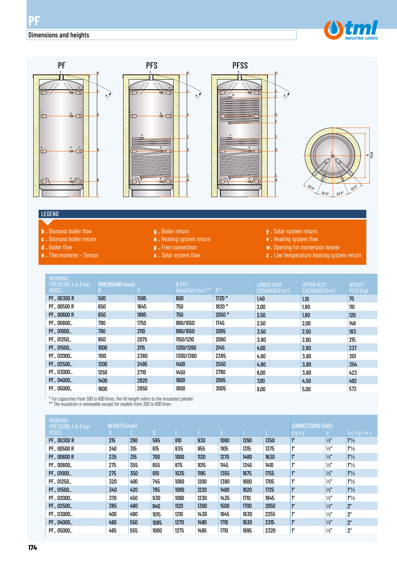#### Dimensions and heights











#### LEGEND

- **b .** Biomass boiler flow
- **c .** Biomass boiler return
- **d .** Boiler flow
- **e .** Thermometer Sensor
- **g .** Boiler return
- **n .** Heating system return
- **p .** Free connection
- **x .** Solar system flow
- **y .** Solar system return
- **v .** Heating system flow
- **w.** Opening for immersion heater
- **z .** Low temperature heating system return

| <b>WORKING</b><br>PRESSURE 4 & 6 bar<br><b>MODEL</b> | <b>DIMENSIONS (mm)</b><br>Ø. |      | Ø EXT<br>(Hard/Soft ins.) ** R * |         | <b>LOWER HEAT</b><br>EXCHANGER $(m2)$ | <b>UPPER HEAT</b><br>EXCHANGER $(m2)$ | <b>WEIGHT</b><br>PFSS(kg) |
|------------------------------------------------------|------------------------------|------|----------------------------------|---------|---------------------------------------|---------------------------------------|---------------------------|
| <b>PF_00300 R</b>                                    | 500                          | 1595 | 600                              | $1720*$ | 1,40                                  | 1,10                                  | 70                        |
| <b>PF_00500 R</b>                                    | 650                          | 1645 | 750                              | 1820 *  | 2,00                                  | 1,80                                  | 110                       |
| <b>PF_00600 R</b>                                    | 650                          | 1895 | 750                              | $2050*$ | 2,50                                  | 1.80                                  | 120                       |
| PF_00800_                                            | 790                          | 1750 | 990/1050                         | 1745    | 2,50                                  | 2,00                                  | 149                       |
| PF_01000_                                            | 790                          | 2110 | 990/1050                         | 2095    | 3,50                                  | 2,50                                  | 183                       |
| PF_01250_                                            | 950                          | 2075 | 1150/1210                        | 2090    | 3,80                                  | 2,60                                  | 215                       |
| PF_01500_                                            | 1000                         | 2115 | 1200/1260                        | 2145    | 4,00                                  | 2,80                                  | 237                       |
| PF_02000_                                            | 1100                         | 2380 | 1300/1360                        | 2385    | 4,80                                  | 3,80                                  | 301                       |
| PF_02500_                                            | 1200                         | 2495 | 1400                             | 2550    | 4,80                                  | 3,80                                  | 354                       |
| PF_03000_                                            | 1250                         | 2710 | 1450                             | 2760    | 6,00                                  | 3,80                                  | 423                       |
| PF_04000_                                            | 1400                         | 2820 | 1600                             | 2905    | 7,00                                  | 4,50                                  | 492                       |
| PF_05000_                                            | 1600                         | 2850 | 1800                             | 3005    | 8,00                                  | 5,00                                  | 572                       |

*\* For capacities from 300 to 600 litres, the tilt height refers to the insulated cylinder \*\* The insulation is removable except for models from 300 to 600 litres*

| <b>WORKING</b><br>PRESSURE 4 & 6 bar | <b>HEIGHTS (mm)</b> |     |              |      |      |      |      | <b>CONNECTIONS (GAS)</b> |                    |               |                             |
|--------------------------------------|---------------------|-----|--------------|------|------|------|------|--------------------------|--------------------|---------------|-----------------------------|
| <b>MODEL</b>                         | B                   | C.  | $\mathbf{D}$ | F.   | F.   | G    |      |                          | d g x y            | e.            | $b$ $c$ $n$ $p$ $v$ $w$ $z$ |
| <b>PF_00300 R</b>                    | 215                 | 290 | 595          | 810  | 930  | 1080 | 1290 | 1350                     | ľ"                 | $\frac{1}{2}$ | 1''/2                       |
| <b>PF_00500 R</b>                    | 240                 | 315 | 615          | 835  | 955  | 1105 | 1315 | 1375                     | ľ"                 | $\frac{1}{2}$ | 1''/2                       |
| <b>PF_00600 R</b>                    | 235                 | 315 | 700          | 1000 | 1120 | 1270 | 1480 | 1630                     | ľ"                 | $\frac{1}{2}$ | 1''/2                       |
| PF_00800_                            | 275                 | 355 | 655          | 875  | 1015 | 1145 | 1345 | 1410                     | 1''                | $\frac{1}{2}$ | 1''/2                       |
| PF_01000_                            | 275                 | 350 | 810          | 1035 | 1195 | 1355 | 1675 | 1755                     | ľ"                 | $\frac{1}{2}$ | 1''/2                       |
| PF_01250_                            | 320                 | 400 | 745          | 1060 | 1200 | 1380 | 1600 | 1705                     | 1''                | $\frac{1}{2}$ | 1''/2                       |
| PF_01500_                            | 340                 | 420 | 765          | 1080 | 1220 | 1400 | 1620 | 1725                     | ľ"                 | $\frac{1}{2}$ | 1''/2                       |
| PF_02000_                            | 370                 | 450 | 930          | 1090 | 1230 | 1435 | 1710 | 1945                     | $1^{\prime\prime}$ | $\frac{1}{2}$ | $1"$ /2                     |
| PF_02500_                            | 385                 | 480 | 940          | 1120 | 1300 | 1500 | 1700 | 2050                     | ľ"                 | $\frac{1}{2}$ | 2"                          |
| PF_03000_                            | 400                 | 490 | 1015         | 1210 | 1430 | 1645 | 1830 | 2255                     | $1^{\prime\prime}$ | $\frac{1}{2}$ | 2"                          |
| PF_04000_                            | 460                 | 550 | 1085         | 1270 | 1490 | 1710 | 1930 | 2315                     | ľ"                 | $\frac{1}{2}$ | 2"                          |
| PF_05000_                            | 465                 | 555 | 1080         | 1275 | 1495 | 1710 | 1895 | 2320                     | $1^{\prime\prime}$ | $\frac{1}{2}$ | 2"                          |